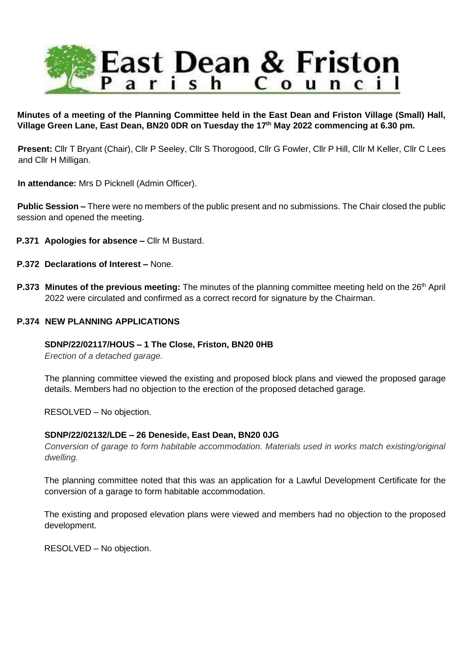

**Minutes of a meeting of the Planning Committee held in the East Dean and Friston Village (Small) Hall, Village Green Lane, East Dean, BN20 0DR on Tuesday the 17th May 2022 commencing at 6.30 pm.**

**Present:** Cllr T Bryant (Chair), Cllr P Seeley, Cllr S Thorogood, Cllr G Fowler, Cllr P Hill, Cllr M Keller, Cllr C Lees and Cllr H Milligan.

**In attendance:** Mrs D Picknell (Admin Officer).

**Public Session –** There were no members of the public present and no submissions. The Chair closed the public session and opened the meeting.

- **P.371 Apologies for absence –** Cllr M Bustard.
- **P.372 Declarations of Interest –** None.
- **P.373 Minutes of the previous meeting:** The minutes of the planning committee meeting held on the 26<sup>th</sup> April 2022 were circulated and confirmed as a correct record for signature by the Chairman.

### **P.374 NEW PLANNING APPLICATIONS**

#### **SDNP/22/02117/HOUS – 1 The Close, Friston, BN20 0HB**

*Erection of a detached garage.*

The planning committee viewed the existing and proposed block plans and viewed the proposed garage details. Members had no objection to the erection of the proposed detached garage.

RESOLVED – No objection.

# **SDNP/22/02132/LDE – 26 Deneside, East Dean, BN20 0JG**

*Conversion of garage to form habitable accommodation. Materials used in works match existing/original dwelling.*

The planning committee noted that this was an application for a Lawful Development Certificate for the conversion of a garage to form habitable accommodation.

The existing and proposed elevation plans were viewed and members had no objection to the proposed development.

RESOLVED – No objection.